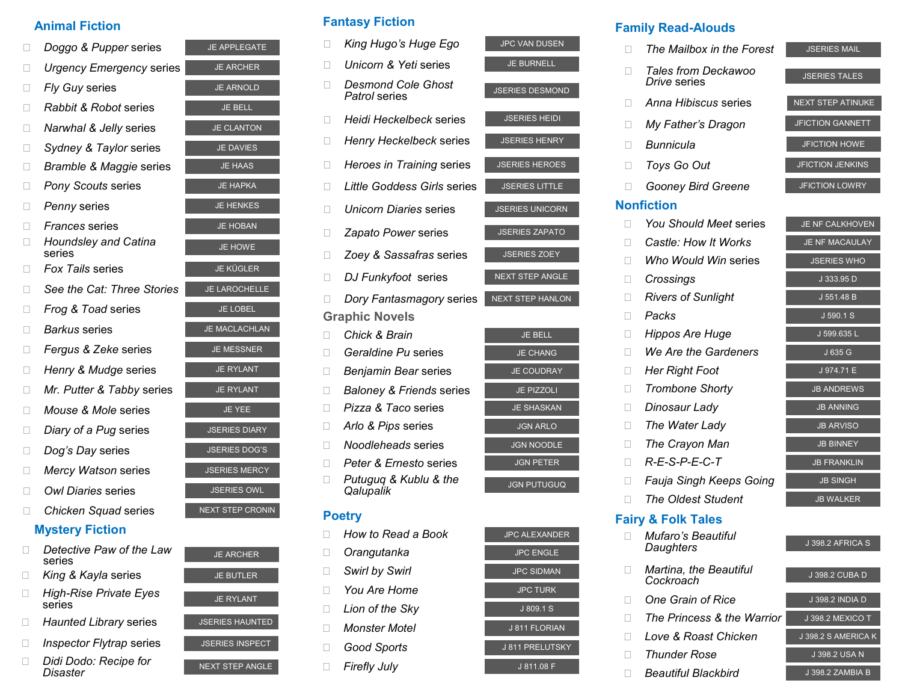# **Animal Fiction**

| П | Doggo & Pupper series                 | <b>JE APPLEGATE</b>  |
|---|---------------------------------------|----------------------|
|   | <b>Urgency Emergency series</b>       | <b>JE ARCHER</b>     |
| П | Fly Guy series                        | <b>JE ARNOLD</b>     |
|   | Rabbit & Robot series                 | <b>JE BELL</b>       |
| ш | Narwhal & Jelly series                | <b>JE CLANTON</b>    |
| П | Sydney & Taylor series                | <b>JE DAVIES</b>     |
|   | Bramble & Maggie series               | <b>JE HAAS</b>       |
| П | <b>Pony Scouts series</b>             | <b>JE HAPKA</b>      |
| п | Penny series                          | <b>JE HENKES</b>     |
|   | <i>Frances</i> series                 | <b>JE HOBAN</b>      |
|   | <b>Houndsley and Catina</b><br>series | <b>JE HOWE</b>       |
|   | <b>Fox Tails series</b>               | <b>JE KÜGLER</b>     |
| П | See the Cat: Three Stories            | <b>JE LAROCHELLE</b> |
| П | Frog & Toad series                    | <b>JE LOBEL</b>      |
| П | Barkus series                         | <b>JE MACLACHLAN</b> |
|   | Fergus & Zeke series                  | <b>JE MESSNER</b>    |
| П | Henry & Mudge series                  | <b>JE RYLANT</b>     |
| П | Mr. Putter & Tabby series             | <b>JE RYLANT</b>     |
| П | <i>Mouse &amp; Mole</i> series        | <b>JE YEE</b>        |
| П | Diary of a Pug series                 | <b>JSERIES DIARY</b> |
| П | Dog's Day series                      | <b>JSERIES DOG'S</b> |
|   | Mercy Watson series                   | <b>JSERIES MERCY</b> |
| П | Owl Diaries series                    | <b>JSERIES OWL</b>   |

**Chicken Squad series** 

# **Mystery Fiction**

- **Detective Paw of the Law** series
- **King & Kayla series**
- JE RYLANT *High-Rise Private Eyes*  series
- **Haunted Library series**
- **Inspector Flytrap series**
- □ *Didi Dodo: Recipe for Disaster*

| <b>JE APPLEGATE</b>  |
|----------------------|
| JE ARCHER            |
| <b>JE ARNOLD</b>     |
| JE BELL              |
| <b>JE CLANTON</b>    |
| <b>JE DAVIES</b>     |
| <b>JE HAAS</b>       |
| <b>JE HAPKA</b>      |
| <b>JE HENKES</b>     |
| <b>JE HOBAN</b>      |
| <b>JE HOWE</b>       |
| <b>JE KÜGLER</b>     |
| <b>JE LAROCHELLE</b> |
| <b>JE LOBEL</b>      |
| <b>JE MACLACHLAN</b> |
| <b>JE MESSNER</b>    |
| <b>JE RYLANT</b>     |
| <b>JE RYLANT</b>     |
| <b>JE YEE</b>        |
| <b>JSERIES DIARY</b> |
| <b>JSERIES DOG'S</b> |
| <b>JSERIES MERCY</b> |
| <b>JSERIES OWL</b>   |
| NEXT STEP CRONIN     |
|                      |

| <b>JE ARCHER</b>       |  |
|------------------------|--|
| <b>JE BUTLER</b>       |  |
| <b>JE RYLANT</b>       |  |
| <b>JSERIES HAUNTED</b> |  |
| <b>JSERIES INSPECT</b> |  |
| <b>NEXT STEP ANGLE</b> |  |

# **Fantasy Fiction**

**D** Orangutanka **B** Swirl by Swirl *D* You Are Home **Lion of the Sky I** Monster Motel **Good Sports Firefly July** 

| Ш | King Hugo's Huge Ego                       | <b>JPC VAN DUSEN</b>    |
|---|--------------------------------------------|-------------------------|
| ш | Unicorn & Yeti series                      | <b>JE BURNELL</b>       |
| Ш | <b>Desmond Cole Ghost</b><br>Patrol series | <b>JSERIES DESMOND</b>  |
| П | Heidi Heckelbeck series                    | <b>JSERIES HEIDI</b>    |
|   | Henry Heckelbeck series                    | <b>JSERIES HENRY</b>    |
|   | Heroes in Training series                  | <b>JSERIES HEROES</b>   |
| П | <b>Little Goddess Girls series</b>         | <b>JSERIES LITTLE</b>   |
| П | <i>Unicorn Diaries</i> series              | <b>JSERIES UNICORN</b>  |
| Ш | Zapato Power series                        | <b>JSERIES ZAPATO</b>   |
| П | Zoey & Sassafras series                    | <b>JSERIES ZOEY</b>     |
| П | DJ Funkyfoot series                        | <b>NEXT STEP ANGLE</b>  |
|   |                                            |                         |
|   | Dory Fantasmagory series                   | <b>NEXT STEP HANLON</b> |
|   | <b>Graphic Novels</b>                      |                         |
| П | <b>Chick &amp; Brain</b>                   | <b>JE BELL</b>          |
|   | Geraldine Pu series                        | <b>JE CHANG</b>         |
| Н | Benjamin Bear series                       | <b>JE COUDRAY</b>       |
|   | <b>Baloney &amp; Friends series</b>        | <b>JE PIZZOLI</b>       |
| н | Pizza & Taco series                        | <b>JE SHASKAN</b>       |
|   | Arlo & Pips series                         | <b>JGN ARLO</b>         |
| П | Noodleheads series                         | <b>JGN NOODLE</b>       |
| п | Peter & Ernesto series                     | <b>JGN PETER</b>        |
| П | Putuguq & Kublu & the<br>Qalupalik         | <b>JGN PUTUGUQ</b>      |
|   | <b>Poetry</b>                              |                         |

| <b>JGN PETER</b>      |
|-----------------------|
| <b>JGN PUTUGUQ</b>    |
|                       |
|                       |
| <b>JPC ALEXANDER</b>  |
| <b>JPC ENGLE</b>      |
| <b>JPC SIDMAN</b>     |
| <b>JPC TURK</b>       |
| J 809.1 S             |
| J 811 FLORIAN         |
| <b>J811 PRELUTSKY</b> |
| J 811.08 F            |

# **Family Read-Alouds**

| П            | The Mailbox in the Forest           | <b>JSERIES MAIL</b>      |
|--------------|-------------------------------------|--------------------------|
|              | Tales from Deckawoo<br>Drive series | <b>JSERIES TALES</b>     |
|              | Anna Hibiscus series                | <b>NEXT STEP ATINUKE</b> |
| $\mathbf{I}$ | My Father's Dragon                  | <b>JFICTION GANNETT</b>  |
| $\mathbf{L}$ | Bunnicula                           | <b>JFICTION HOWE</b>     |
| П            | Toys Go Out                         | <b>JFICTION JENKINS</b>  |
| $\Box$       | <b>Gooney Bird Greene</b>           | <b>JFICTION LOWRY</b>    |
|              | <b>Nonfiction</b>                   |                          |
| П            | You Should Meet series              | JE NF CALKHOVEN          |
| П            | Castle: How It Works                | <b>JE NF MACAULAY</b>    |
| П            | Who Would Win series                | <b>JSERIES WHO</b>       |
| П            | Crossings                           | J 333.95 D               |
| П            | <b>Rivers of Sunlight</b>           | J 551.48 B               |
| П            | Packs                               | J 590.1 S                |
| Ш            | Hippos Are Huge                     | J 599.635 L              |
| Ш            | We Are the Gardeners                | J 635 G                  |
| П            | <b>Her Right Foot</b>               | J 974.71 E               |
| П            | <b>Trombone Shorty</b>              | <b>JB ANDREWS</b>        |
| П            | Dinosaur Lady                       | <b>JB ANNING</b>         |
| $\mathbf{L}$ | The Water Lady                      | <b>JB ARVISO</b>         |
| П            | The Crayon Man                      | <b>JB BINNEY</b>         |
| П            | $R-E-S-P-E-C-T$                     | <b>JB FRANKLIN</b>       |
| П            | Fauja Singh Keeps Going             | <b>JB SINGH</b>          |
| $\mathbf{L}$ | The Oldest Student                  | <b>JB WALKER</b>         |
|              | <b>Fairy &amp; Folk Tales</b>       |                          |
|              | Mufaro's Beautiful<br>Daughters     | J 398.2 AFRICA S         |
|              |                                     |                          |

- J 398.2 CUBA D *Martina, the Beautiful*
- **One Grain of Rice** J 398.2 INDIA D
- *The Princess & the Warrior* J 398.2 MEXICO T
- **Love & Roast Chicken** J 398.2 S AMERICA K
- **Thunder Rose** J 398.2 USA N

*Cockroach*

**Beautiful Blackbird** J 398.2 ZAMBIA B